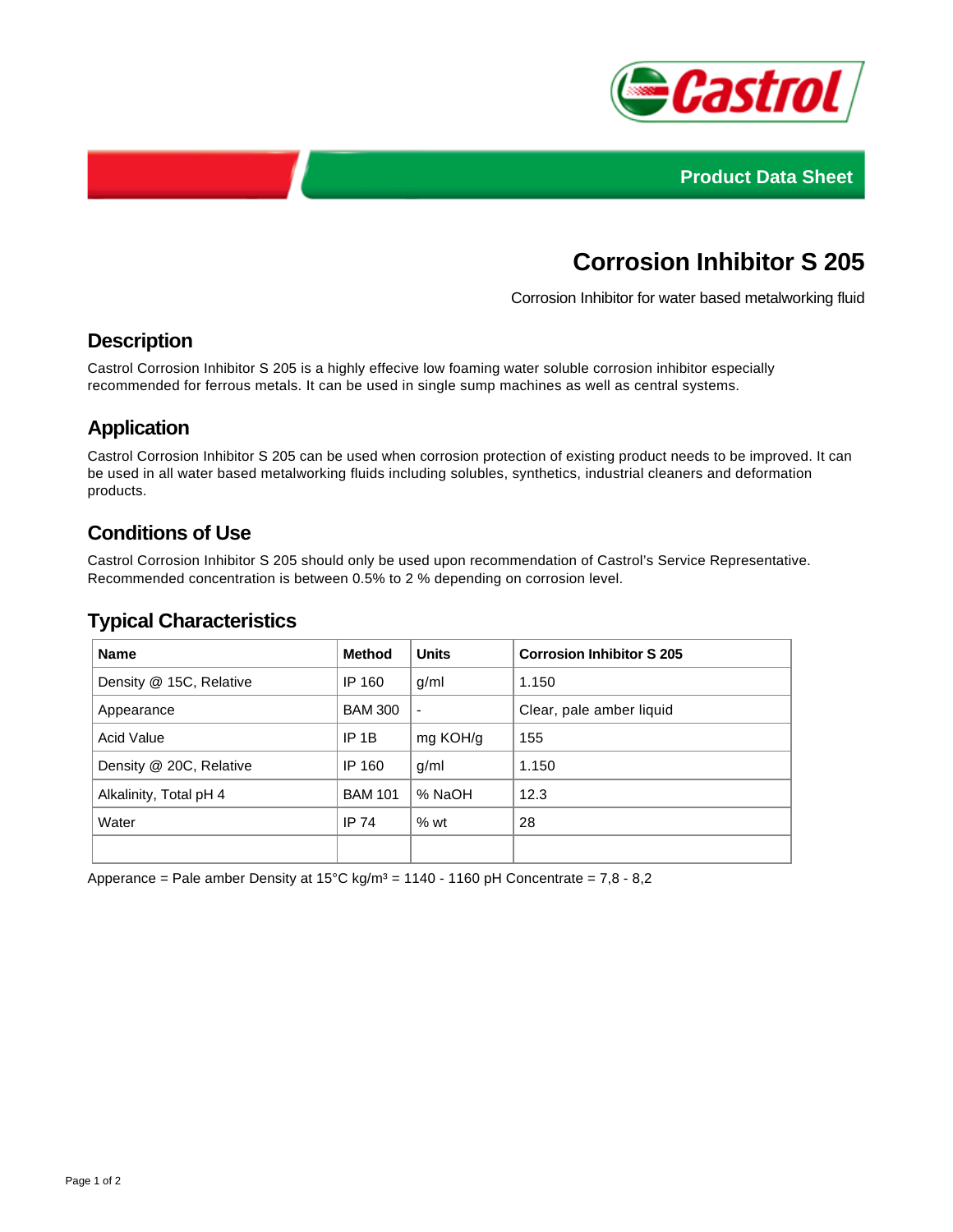



# **Corrosion Inhibitor S 205**

Corrosion Inhibitor for water based metalworking fluid

## **Description**

Castrol Corrosion Inhibitor S 205 is a highly effecive low foaming water soluble corrosion inhibitor especially recommended for ferrous metals. It can be used in single sump machines as well as central systems.

## **Application**

Castrol Corrosion Inhibitor S 205 can be used when corrosion protection of existing product needs to be improved. It can be used in all water based metalworking fluids including solubles, synthetics, industrial cleaners and deformation products.

## **Conditions of Use**

Castrol Corrosion Inhibitor S 205 should only be used upon recommendation of Castrol's Service Representative. Recommended concentration is between 0.5% to 2 % depending on corrosion level.

#### **Typical Characteristics**

| <b>Name</b>             | <b>Method</b>  | <b>Units</b>   | <b>Corrosion Inhibitor S 205</b> |
|-------------------------|----------------|----------------|----------------------------------|
| Density @ 15C, Relative | IP 160         | g/ml           | 1.150                            |
| Appearance              | <b>BAM 300</b> | $\blacksquare$ | Clear, pale amber liquid         |
| <b>Acid Value</b>       | $IP$ 1B        | mg KOH/g       | 155                              |
| Density @ 20C, Relative | IP 160         | g/ml           | 1.150                            |
| Alkalinity, Total pH 4  | <b>BAM 101</b> | % NaOH         | 12.3                             |
| Water                   | <b>IP 74</b>   | %wt            | 28                               |
|                         |                |                |                                  |

Apperance = Pale amber Density at  $15^{\circ}$ C kg/m<sup>3</sup> = 1140 - 1160 pH Concentrate = 7,8 - 8,2